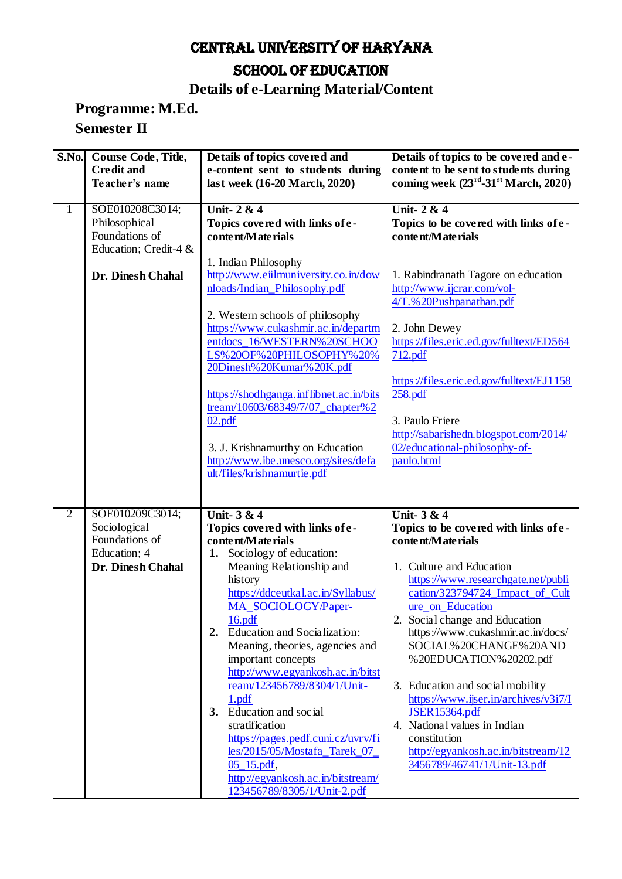# CENTRAL UNIVERSITY OF HARYANA SCHOOL OF EDUCATION

### **Details of e-Learning Material/Content**

#### **Programme: M.Ed. Semester II**

|                | S.No. Course Code, Title,<br><b>Credit and</b><br>Teacher's name            | Details of topics covered and<br>e-content sent to students during<br>last week (16-20 March, 2020)                                                                                                                                                                                                                                                                                                                                                                                                                                     | Details of topics to be covered and e-<br>content to be sent to students during<br>coming week $(23^{rd} - 31^{st}$ March, 2020)                                                                                                                                                                                                                                                                                                                                   |
|----------------|-----------------------------------------------------------------------------|-----------------------------------------------------------------------------------------------------------------------------------------------------------------------------------------------------------------------------------------------------------------------------------------------------------------------------------------------------------------------------------------------------------------------------------------------------------------------------------------------------------------------------------------|--------------------------------------------------------------------------------------------------------------------------------------------------------------------------------------------------------------------------------------------------------------------------------------------------------------------------------------------------------------------------------------------------------------------------------------------------------------------|
| $\mathbf{1}$   | SOE010208C3014;<br>Philosophical<br>Foundations of<br>Education; Credit-4 & | <b>Unit-2 &amp; 4</b><br>Topics covered with links of e-<br>content/Materials                                                                                                                                                                                                                                                                                                                                                                                                                                                           | Unit-2 & 4<br>Topics to be covered with links of e-<br>content/Materials                                                                                                                                                                                                                                                                                                                                                                                           |
|                | Dr. Dinesh Chahal                                                           | 1. Indian Philosophy<br>http://www.eiilmuniversity.co.in/dow<br>nloads/Indian_Philosophy.pdf                                                                                                                                                                                                                                                                                                                                                                                                                                            | 1. Rabindranath Tagore on education<br>http://www.ijcrar.com/vol-<br>4/T.%20Pushpanathan.pdf                                                                                                                                                                                                                                                                                                                                                                       |
|                |                                                                             | 2. Western schools of philosophy<br>https://www.cukashmir.ac.in/departm<br>entdocs_16/WESTERN%20SCHOO<br>LS%20OF%20PHILOSOPHY%20%<br>20Dinesh%20Kumar%20K.pdf                                                                                                                                                                                                                                                                                                                                                                           | 2. John Dewey<br>https://files.eric.ed.gov/fulltext/ED564<br>712.pdf                                                                                                                                                                                                                                                                                                                                                                                               |
|                |                                                                             | https://shodhganga.inflibnet.ac.in/bits<br>tream/10603/68349/7/07_chapter%2                                                                                                                                                                                                                                                                                                                                                                                                                                                             | https://files.eric.ed.gov/fulltext/EJ1158<br>258.pdf                                                                                                                                                                                                                                                                                                                                                                                                               |
|                |                                                                             | 02.pdf<br>3. J. Krishnamurthy on Education<br>http://www.ibe.unesco.org/sites/defa<br>ult/files/krishnamurtie.pdf                                                                                                                                                                                                                                                                                                                                                                                                                       | 3. Paulo Friere<br>http://sabarishedn.blogspot.com/2014/<br>02/educational-philosophy-of-<br>paulo.html                                                                                                                                                                                                                                                                                                                                                            |
|                |                                                                             |                                                                                                                                                                                                                                                                                                                                                                                                                                                                                                                                         |                                                                                                                                                                                                                                                                                                                                                                                                                                                                    |
| $\overline{2}$ | SOE010209C3014;<br>Sociological<br>Foundations of                           | Unit- $3 & 4$<br>Topics covered with links of e-<br>content/Materials                                                                                                                                                                                                                                                                                                                                                                                                                                                                   | <b>Unit-3 &amp; 4</b><br>Topics to be covered with links of e-<br>content/Materials                                                                                                                                                                                                                                                                                                                                                                                |
|                | Education; 4<br>Dr. Dinesh Chahal                                           | 1. Sociology of education:<br>Meaning Relationship and<br>history<br>https://ddceutkal.ac.in/Syllabus/<br>MA_SOCIOLOGY/Paper-<br>16.pdf<br>Education and Socialization:<br>2.<br>Meaning, theories, agencies and<br>important concepts<br>http://www.egyankosh.ac.in/bitst<br>ream/123456789/8304/1/Unit-<br>1.pdf<br>3. Education and social<br>stratification<br>https://pages.pedf.cuni.cz/uvrv/fi<br>les/2015/05/Mostafa_Tarek_07_<br>$05$ <sub>-15</sub> .pdf,<br>http://egyankosh.ac.in/bitstream/<br>123456789/8305/1/Unit-2.pdf | 1. Culture and Education<br>https://www.researchgate.net/publi<br>cation/323794724_Impact_of_Cult<br>ure_on_Education<br>2. Social change and Education<br>https://www.cukashmir.ac.in/docs/<br>SOCIAL%20CHANGE%20AND<br>%20EDUCATION%20202.pdf<br>3. Education and social mobility<br>https://www.ijser.in/archives/v3i7/I<br>JSER15364.pdf<br>4. National values in Indian<br>constitution<br>http://egyankosh.ac.in/bitstream/12<br>3456789/46741/1/Unit-13.pdf |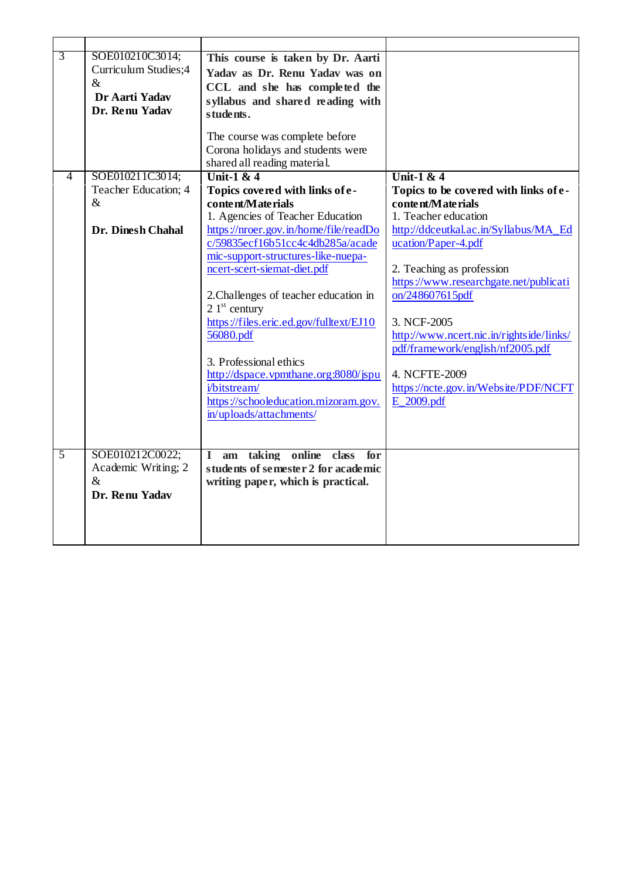| $\overline{3}$ | SOE010210C3014;<br>Curriculum Studies;4<br>$\&$<br>Dr Aarti Yadav<br>Dr. Renu Yadav | This course is taken by Dr. Aarti<br>Yadav as Dr. Renu Yadav was on<br>CCL and she has completed the<br>syllabus and shared reading with<br>students.                                                                                                                                                                                                                                                                                                                                                                             |                                                                                                                                                                                                                                                                                                                                                                                                                                    |
|----------------|-------------------------------------------------------------------------------------|-----------------------------------------------------------------------------------------------------------------------------------------------------------------------------------------------------------------------------------------------------------------------------------------------------------------------------------------------------------------------------------------------------------------------------------------------------------------------------------------------------------------------------------|------------------------------------------------------------------------------------------------------------------------------------------------------------------------------------------------------------------------------------------------------------------------------------------------------------------------------------------------------------------------------------------------------------------------------------|
|                |                                                                                     | The course was complete before<br>Corona holidays and students were<br>shared all reading material.                                                                                                                                                                                                                                                                                                                                                                                                                               |                                                                                                                                                                                                                                                                                                                                                                                                                                    |
| 4              | SOE010211C3014;<br>Teacher Education; 4<br>$\&$<br><b>Dr. Dinesh Chahal</b>         | Unit-1 $&4$<br>Topics covered with links of e-<br>content/Materials<br>1. Agencies of Teacher Education<br>https://nroer.gov.in/home/file/readDo<br>c/59835ecf16b51cc4c4db285a/acade<br>mic-support-structures-like-nuepa-<br>ncert-scert-siemat-diet.pdf<br>2. Challenges of teacher education in<br>$21st$ century<br>https://files.eric.ed.gov/fulltext/EJ10<br>56080.pdf<br>3. Professional ethics<br>http://dspace.vpmthane.org:8080/jspu<br>i/bitstream/<br>https://schooleducation.mizoram.gov.<br>in/uploads/attachments/ | Unit-1 & $4$<br>Topics to be covered with links of e-<br>content/Materials<br>1. Teacher education<br>http://ddceutkal.ac.in/Syllabus/MA_Ed<br>ucation/Paper-4.pdf<br>2. Teaching as profession<br>https://www.researchgate.net/publicati<br>on/248607615pdf<br>3. NCF-2005<br>http://www.ncert.nic.in/rightside/links/<br>pdf/framework/english/nf2005.pdf<br>4. NCFTE-2009<br>https://ncte.gov.in/Website/PDF/NCFT<br>E_2009.pdf |
| $\overline{5}$ | SOE010212C0022;<br>Academic Writing; 2<br>$\&$<br>Dr. Renu Yadav                    | am taking online class for<br>$\mathbf{I}$<br>students of semester 2 for academic<br>writing paper, which is practical.                                                                                                                                                                                                                                                                                                                                                                                                           |                                                                                                                                                                                                                                                                                                                                                                                                                                    |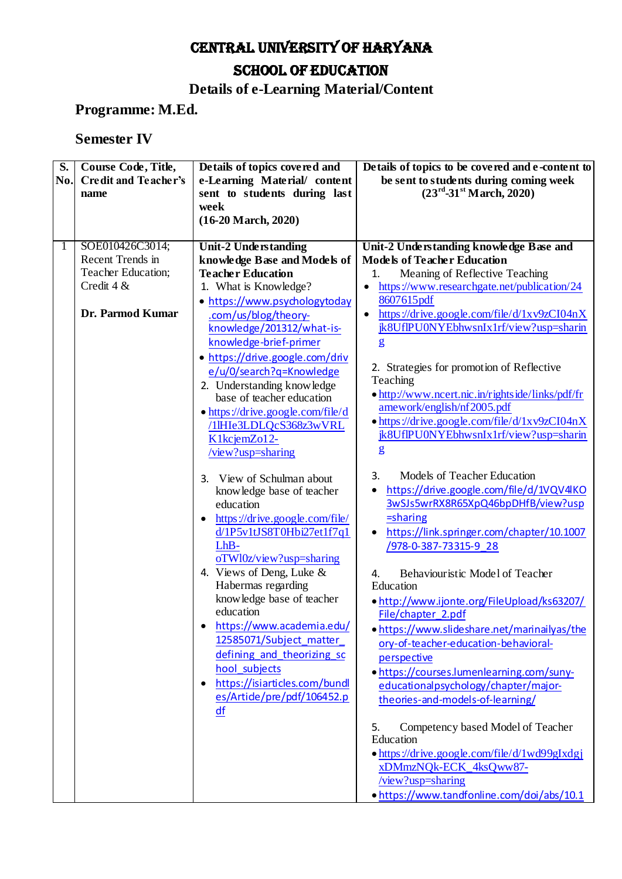# CENTRAL UNIVERSITY OF HARYANA SCHOOL OF EDUCATION

### **Details of e-Learning Material/Content**

### **Programme: M.Ed.**

#### **Semester IV**

| S.  | Course Code, Title,  | Details of topics covered and              | Details of topics to be covered and e-content to                               |  |
|-----|----------------------|--------------------------------------------|--------------------------------------------------------------------------------|--|
| No. | Credit and Teacher's | e-Learning Material/ content               | be sent to students during coming week                                         |  |
|     | name                 | sent to students during last               | $(23^{\text{rd}}-31^{\text{st}} \text{March}, 2020)$                           |  |
|     |                      | week                                       |                                                                                |  |
|     |                      | $(16-20 \text{ March}, 2020)$              |                                                                                |  |
|     |                      |                                            |                                                                                |  |
| 1   | SOE010426C3014;      | Unit-2 Understanding                       | Unit-2 Understanding knowledge Base and                                        |  |
|     | Recent Trends in     | knowledge Base and Models of               | <b>Models of Teacher Education</b>                                             |  |
|     | Teacher Education;   | <b>Teacher Education</b>                   | Meaning of Reflective Teaching<br>1.                                           |  |
|     | Credit 4 &           | 1. What is Knowledge?                      | https://www.researchgate.net/publication/24                                    |  |
|     |                      | · https://www.psychologytoday              | 8607615pdf                                                                     |  |
|     | Dr. Parmod Kumar     | .com/us/blog/theory-                       | https://drive.google.com/file/d/1xv9zCI04nX                                    |  |
|     |                      | knowledge/201312/what-is-                  | jk8UfIPU0NYEbhwsnIx1rf/view?usp=sharin                                         |  |
|     |                      | knowledge-brief-primer                     | $\mathbf{g}$                                                                   |  |
|     |                      | • https://drive.google.com/driv            |                                                                                |  |
|     |                      | e/u/0/search?q=Knowledge                   | 2. Strategies for promotion of Reflective                                      |  |
|     |                      | 2. Understanding knowledge                 | Teaching                                                                       |  |
|     |                      | base of teacher education                  | • http://www.ncert.nic.in/rightside/links/pdf/fr<br>amework/english/nf2005.pdf |  |
|     |                      | • https://drive.google.com/file/d          | $\bullet$ https://drive.google.com/file/d/1xv9zCI04nX                          |  |
|     |                      | /1lHIe3LDLQcS368z3wVRL                     | jk8UfIPU0NYEbhwsnIx1rf/view?usp=sharin                                         |  |
|     |                      | K1kcjemZo12-                               | $\mathbf{g}$                                                                   |  |
|     |                      | /view?usp=sharing                          |                                                                                |  |
|     |                      | View of Schulman about<br>3.               | Models of Teacher Education<br>3.                                              |  |
|     |                      | knowledge base of teacher                  | https://drive.google.com/file/d/1VQV4KO                                        |  |
|     |                      | education                                  | 3wSJs5wrRX8R65XpQ46bpDHfB/view?usp                                             |  |
|     |                      | https://drive.google.com/file/             | =sharing                                                                       |  |
|     |                      | d/1P5v1tJS8T0Hbi27et1f7q1                  | https://link.springer.com/chapter/10.1007                                      |  |
|     |                      | LhB-                                       | /978-0-387-73315-9 28                                                          |  |
|     |                      | $oTW10z/view?usp=sharing$                  |                                                                                |  |
|     |                      | 4. Views of Deng, Luke $&$                 | Behaviouristic Model of Teacher<br>4.                                          |  |
|     |                      | Habermas regarding                         | Education                                                                      |  |
|     |                      | knowledge base of teacher                  | . http://www.ijonte.org/FileUpload/ks63207/                                    |  |
|     |                      | education                                  | File/chapter_2.pdf                                                             |  |
|     |                      | https://www.academia.edu/                  | . https://www.slideshare.net/marinailyas/the                                   |  |
|     |                      | 12585071/Subject matter                    | ory-of-teacher-education-behavioral-                                           |  |
|     |                      | defining and theorizing sc                 | perspective                                                                    |  |
|     |                      | hool_subjects                              | . https://courses.lumenlearning.com/suny-                                      |  |
|     |                      | https://isiarticles.com/bundl<br>$\bullet$ | educationalpsychology/chapter/major-                                           |  |
|     |                      | es/Artide/pre/pdf/106452.p                 | theories-and-models-of-learning/                                               |  |
|     |                      | df                                         |                                                                                |  |
|     |                      |                                            | Competency based Model of Teacher<br>5.<br>Education                           |  |
|     |                      |                                            | • https://drive.google.com/file/d/1wd99gIxdgj                                  |  |
|     |                      |                                            | xDMmzNQk-ECK_4ksQww87-                                                         |  |
|     |                      |                                            | /view?usp=sharing                                                              |  |
|     |                      |                                            | . https://www.tandfonline.com/doi/abs/10.1                                     |  |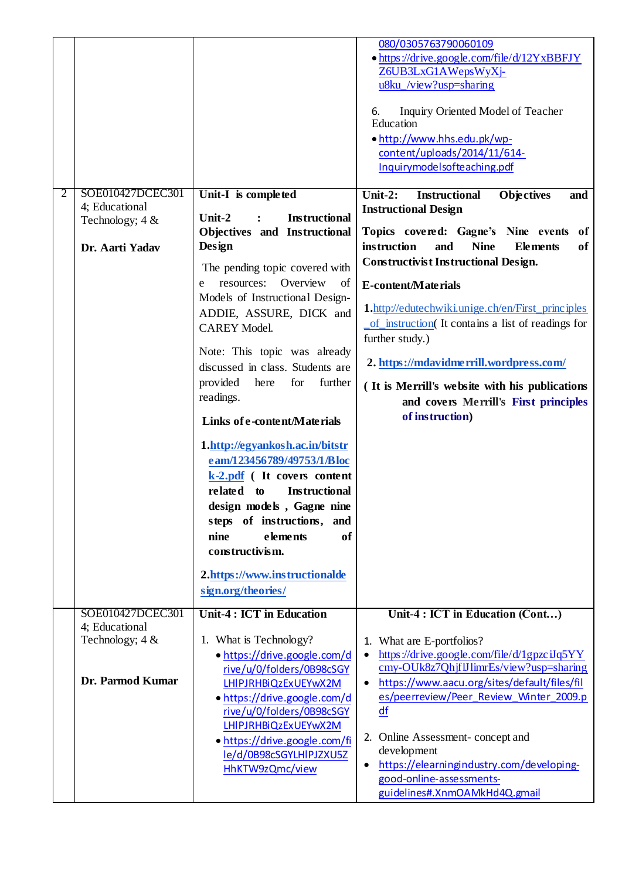|                |                                    |                                                                                                                                                                                                                                                                                                  | 080/0305763790060109<br>• https://drive.google.com/file/d/12YxBBFJY<br>Z6UB3LxG1AWepsWyXj-<br>u8ku_/view?usp=sharing<br>Inquiry Oriented Model of Teacher<br>6.<br>Education<br>• http://www.hhs.edu.pk/wp-<br>content/uploads/2014/11/614-<br>Inquirymodelsofteaching.pdf |
|----------------|------------------------------------|--------------------------------------------------------------------------------------------------------------------------------------------------------------------------------------------------------------------------------------------------------------------------------------------------|----------------------------------------------------------------------------------------------------------------------------------------------------------------------------------------------------------------------------------------------------------------------------|
| $\overline{2}$ | SOE010427DCEC301<br>4; Educational | Unit-I is completed                                                                                                                                                                                                                                                                              | Unit-2:<br><b>Instructional</b><br><b>Objectives</b><br>and                                                                                                                                                                                                                |
|                | Technology; 4 &                    | Unit-2<br><b>Instructional</b><br>$\ddot{\cdot}$                                                                                                                                                                                                                                                 | <b>Instructional Design</b>                                                                                                                                                                                                                                                |
|                |                                    | Objectives and Instructional                                                                                                                                                                                                                                                                     | Topics covered: Gagne's Nine events<br>of                                                                                                                                                                                                                                  |
|                | Dr. Aarti Yadav                    | Design                                                                                                                                                                                                                                                                                           | instruction<br><b>Nine</b><br><b>Elements</b><br>and<br>of                                                                                                                                                                                                                 |
|                |                                    | The pending topic covered with                                                                                                                                                                                                                                                                   | <b>Constructivist Instructional Design.</b>                                                                                                                                                                                                                                |
|                |                                    | resources: Overview<br>of<br>e<br>Models of Instructional Design-                                                                                                                                                                                                                                | E-content/Materials                                                                                                                                                                                                                                                        |
|                |                                    | ADDIE, ASSURE, DICK and                                                                                                                                                                                                                                                                          | <b>1.</b> http://edutechwiki.unige.ch/en/First_principles                                                                                                                                                                                                                  |
|                |                                    | <b>CAREY Model.</b>                                                                                                                                                                                                                                                                              | of instruction (It contains a list of readings for                                                                                                                                                                                                                         |
|                |                                    | Note: This topic was already                                                                                                                                                                                                                                                                     | further study.)                                                                                                                                                                                                                                                            |
|                |                                    | discussed in class. Students are                                                                                                                                                                                                                                                                 | 2. https://mdavidmerrill.wordpress.com/                                                                                                                                                                                                                                    |
|                |                                    | provided<br>for<br>here<br>further                                                                                                                                                                                                                                                               | (It is Merrill's website with his publications                                                                                                                                                                                                                             |
|                |                                    | readings.                                                                                                                                                                                                                                                                                        | and covers Merrill's First principles                                                                                                                                                                                                                                      |
|                |                                    | Links of e-content/Materials                                                                                                                                                                                                                                                                     | of instruction)                                                                                                                                                                                                                                                            |
|                |                                    | 1.http://egyankosh.ac.in/bitstr<br>eam/123456789/49753/1/Bloc<br>k-2.pdf (It covers content<br>related to<br><b>Instructional</b><br>design models, Gagne nine<br>steps of instructions, and<br>elements<br>nine<br>of<br>constructivism.<br>2.https://www.instructionalde<br>sign.org/theories/ |                                                                                                                                                                                                                                                                            |
|                | SOE010427DCEC301                   |                                                                                                                                                                                                                                                                                                  |                                                                                                                                                                                                                                                                            |
|                | 4; Educational                     | <b>Unit-4: ICT in Education</b>                                                                                                                                                                                                                                                                  | Unit-4 : ICT in Education (Cont)                                                                                                                                                                                                                                           |
|                | Technology; $4 &$                  | 1. What is Technology?                                                                                                                                                                                                                                                                           | 1. What are E-portfolios?                                                                                                                                                                                                                                                  |
|                |                                    | • https://drive.google.com/d<br>rive/u/0/folders/0B98cSGY                                                                                                                                                                                                                                        | https://drive.google.com/file/d/1gpzciJq5YY<br>cmy-OUk8z7QhjflJlimrEs/view?usp=sharing                                                                                                                                                                                     |
|                | Dr. Parmod Kumar                   | LHIPJRHBiQzExUEYwX2M                                                                                                                                                                                                                                                                             | https://www.aacu.org/sites/default/files/fil                                                                                                                                                                                                                               |
|                |                                    | • https://drive.google.com/d                                                                                                                                                                                                                                                                     | es/peerreview/Peer_Review_Winter_2009.p                                                                                                                                                                                                                                    |
|                |                                    | rive/u/0/folders/0B98cSGY<br>LHIPJRHBiQzExUEYwX2M                                                                                                                                                                                                                                                | df                                                                                                                                                                                                                                                                         |
|                |                                    | • https://drive.google.com/fi                                                                                                                                                                                                                                                                    | 2. Online Assessment-concept and                                                                                                                                                                                                                                           |
|                |                                    | le/d/0B98cSGYLHIPJZXU5Z                                                                                                                                                                                                                                                                          | development                                                                                                                                                                                                                                                                |
|                |                                    | HhKTW9zQmc/view                                                                                                                                                                                                                                                                                  | https://elearningindustry.com/developing-<br>good-online-assessments-                                                                                                                                                                                                      |
|                |                                    |                                                                                                                                                                                                                                                                                                  | guidelines#.XnmOAMkHd4Q.gmail                                                                                                                                                                                                                                              |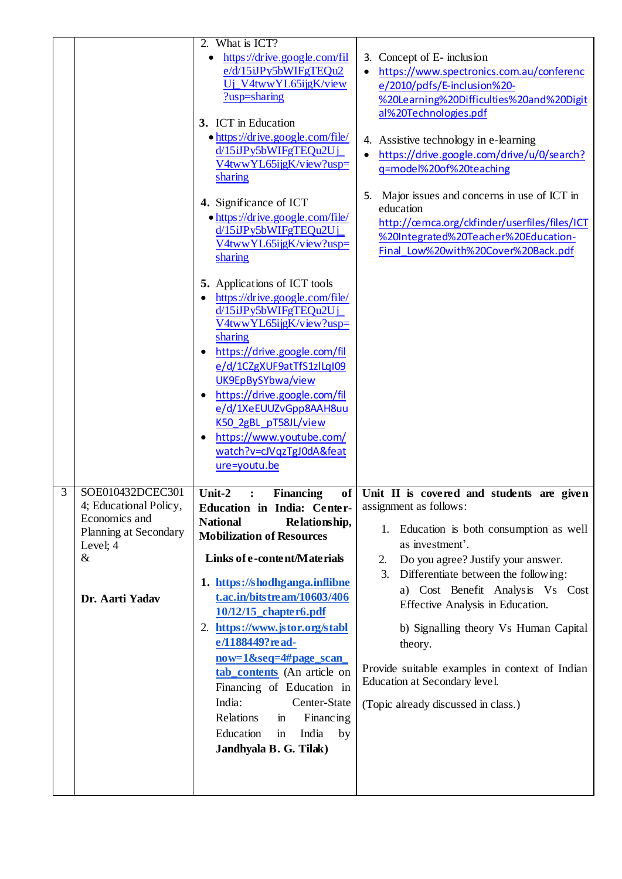|   |                                                                                                                          | 2. What is ICT?<br>https://drive.google.com/fil<br>e/d/15iJPy5bWIFgTEQu2<br>Uj_V4twwYL65ijgK/view<br>?usp=sharing<br>3. ICT in Education<br>• https://drive.google.com/file/<br>d/15iJPy5bWIFgTEQu2Uj<br>V4twwYL65ijgK/view?usp=<br>sharing<br>4. Significance of ICT<br>• https://drive.google.com/file/<br>d/15iJPy5bWIFgTEQu2Uj<br>V4twwYL65ijgK/view?usp=<br>sharing<br><b>5.</b> Applications of ICT tools<br>https://drive.google.com/file/<br>d/15iJPy5bWIFgTEQu2Uj<br>V4twwYL65ijgK/view?usp=                                                                               | 3. Concept of E- inclusion<br>https://www.spectronics.com.au/conferenc<br>e/2010/pdfs/E-inclusion%20-<br>%20Learning%20Difficulties%20and%20Digit<br>al%20Technologies.pdf<br>4. Assistive technology in e-learning<br>https://drive.google.com/drive/u/0/search?<br>q=model%20of%20teaching<br>5. Major issues and concerns in use of ICT in<br>education<br>http://cemca.org/ckfinder/userfiles/files/ICT<br>%20Integrated%20Teacher%20Education-<br>Final Low%20with%20Cover%20Back.pdf |
|---|--------------------------------------------------------------------------------------------------------------------------|-------------------------------------------------------------------------------------------------------------------------------------------------------------------------------------------------------------------------------------------------------------------------------------------------------------------------------------------------------------------------------------------------------------------------------------------------------------------------------------------------------------------------------------------------------------------------------------|--------------------------------------------------------------------------------------------------------------------------------------------------------------------------------------------------------------------------------------------------------------------------------------------------------------------------------------------------------------------------------------------------------------------------------------------------------------------------------------------|
|   |                                                                                                                          | sharing<br>https://drive.google.com/fil<br>e/d/1CZgXUF9atTfS1zlLqI09<br>UK9EpBySYbwa/view<br>https://drive.google.com/fil<br>e/d/1XeEUUZvGpp8AAH8uu<br>K50_2gBL_pT58JL/view<br>https://www.youtube.com/<br>watch?v=cJVqzTgJ0dA&feat<br>ure=youtu.be                                                                                                                                                                                                                                                                                                                                 |                                                                                                                                                                                                                                                                                                                                                                                                                                                                                            |
| 3 | SOE010432DCEC301<br>4; Educational Policy,<br>Economics and<br>Planning at Secondary<br>Level; 4<br>&<br>Dr. Aarti Yadav | Unit-2<br>of <sub>1</sub><br><b>Financing</b><br>$\ddot{\cdot}$<br>Education in India: Center-<br><b>National</b><br>Relationship,<br><b>Mobilization of Resources</b><br>Links of e-content/Materials<br>1. https://shodhganga.inflibne<br>t.ac.in/bitstream/10603/406<br>10/12/15_chapter6.pdf<br>2. https://www.jstor.org/stabl<br>e/1188449? read-<br>now=1&seq=4#page_scan_<br>tab_contents (An article on<br>Financing of Education in<br>India:<br>Center-State<br>Relations<br><b>Financing</b><br>$\mathbf{m}$<br>Education<br>India<br>in<br>by<br>Jandhyala B. G. Tilak) | Unit II is covered and students are given<br>assignment as follows:<br>1. Education is both consumption as well<br>as investment'.<br>Do you agree? Justify your answer.<br>2.<br>Differentiate between the following:<br>3.<br>a) Cost Benefit Analysis Vs Cost<br>Effective Analysis in Education.<br>b) Signalling theory Vs Human Capital<br>theory.<br>Provide suitable examples in context of Indian<br>Education at Secondary level.<br>(Topic already discussed in class.)         |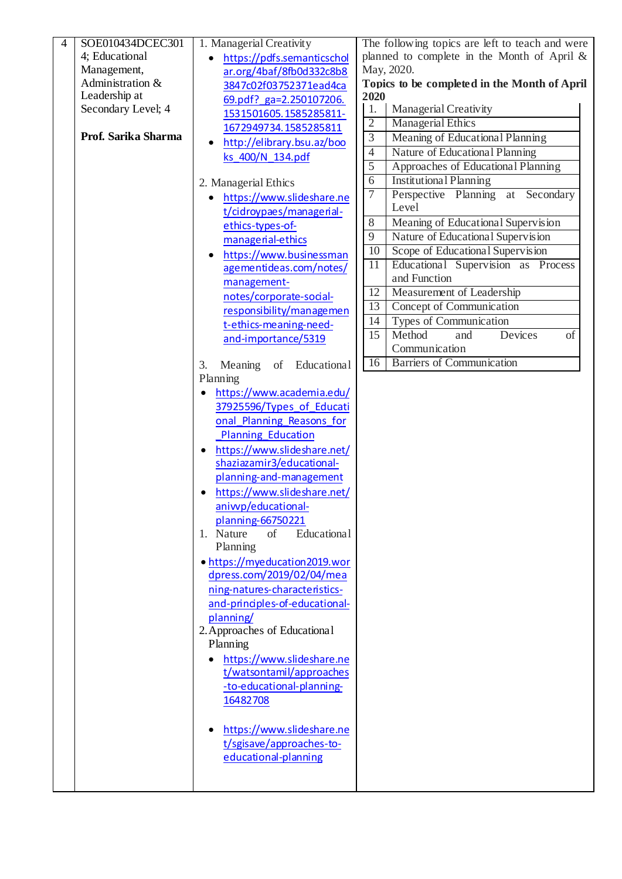| 4 | SOE010434DCEC301    | 1. Managerial Creativity           |                 | The following topics are left to teach and were |
|---|---------------------|------------------------------------|-----------------|-------------------------------------------------|
|   | 4; Educational      | https://pdfs.semanticschol         |                 | planned to complete in the Month of April &     |
|   | Management,         | ar.org/4baf/8fb0d332c8b8           |                 | May, 2020.                                      |
|   | Administration &    | 3847c02f03752371ead4ca             |                 | Topics to be completed in the Month of April    |
|   | Leadership at       | 69.pdf? ga=2.250107206.            | 2020            |                                                 |
|   | Secondary Level; 4  | 1531501605.1585285811-             | 1.              | <b>Managerial Creativity</b>                    |
|   |                     | 1672949734.1585285811              | $\overline{2}$  | <b>Managerial Ethics</b>                        |
|   | Prof. Sarika Sharma | http://elibrary.bsu.az/boo         | $\overline{3}$  | Meaning of Educational Planning                 |
|   |                     | ks_400/N_134.pdf                   | $\overline{4}$  | Nature of Educational Planning                  |
|   |                     |                                    | 5               | Approaches of Educational Planning              |
|   |                     | 2. Managerial Ethics               | $\overline{6}$  | <b>Institutional Planning</b>                   |
|   |                     | https://www.slideshare.ne          | 7               | Perspective Planning<br>at Secondary            |
|   |                     | t/cidroypaes/managerial-           |                 | Level                                           |
|   |                     | ethics-types-of-                   | 8               | Meaning of Educational Supervision              |
|   |                     | managerial-ethics                  | 9               | Nature of Educational Supervision               |
|   |                     | https://www.businessman            | $\overline{10}$ | Scope of Educational Supervision                |
|   |                     |                                    | 11              | Educational Supervision as Process              |
|   |                     | agementideas.com/notes/            |                 | and Function                                    |
|   |                     | management-                        | 12              | Measurement of Leadership                       |
|   |                     | notes/corporate-social-            | 13              | Concept of Communication                        |
|   |                     | responsibility/managemen           | 14              | Types of Communication                          |
|   |                     | t-ethics-meaning-need-             | 15              | Method<br>and<br>Devices<br>of                  |
|   |                     | and-importance/5319                |                 | Communication                                   |
|   |                     |                                    | 16              | <b>Barriers of Communication</b>                |
|   |                     | Educational<br>Meaning<br>of<br>3. |                 |                                                 |
|   |                     | Planning                           |                 |                                                 |
|   |                     | https://www.academia.edu/          |                 |                                                 |
|   |                     | 37925596/Types of Educati          |                 |                                                 |
|   |                     | onal Planning Reasons for          |                 |                                                 |
|   |                     | Planning Education                 |                 |                                                 |
|   |                     | https://www.slideshare.net/        |                 |                                                 |
|   |                     | shaziazamir3/educational-          |                 |                                                 |
|   |                     | planning-and-management            |                 |                                                 |
|   |                     | https://www.slideshare.net/        |                 |                                                 |
|   |                     | aniwp/educational-                 |                 |                                                 |
|   |                     | planning-66750221                  |                 |                                                 |
|   |                     | 1. Nature<br>of<br>Educational     |                 |                                                 |
|   |                     | Planning                           |                 |                                                 |
|   |                     | • https://myeducation2019.wor      |                 |                                                 |
|   |                     | dpress.com/2019/02/04/mea          |                 |                                                 |
|   |                     | ning-natures-characteristics-      |                 |                                                 |
|   |                     | and-principles-of-educational-     |                 |                                                 |
|   |                     | planning/                          |                 |                                                 |
|   |                     | 2. Approaches of Educational       |                 |                                                 |
|   |                     | Planning                           |                 |                                                 |
|   |                     | https://www.slideshare.ne          |                 |                                                 |
|   |                     | t/watsontamil/approaches           |                 |                                                 |
|   |                     | -to-educational-planning-          |                 |                                                 |
|   |                     | 16482708                           |                 |                                                 |
|   |                     |                                    |                 |                                                 |
|   |                     | https://www.slideshare.ne          |                 |                                                 |
|   |                     | t/sgisave/approaches-to-           |                 |                                                 |
|   |                     | educational-planning               |                 |                                                 |
|   |                     |                                    |                 |                                                 |
|   |                     |                                    |                 |                                                 |